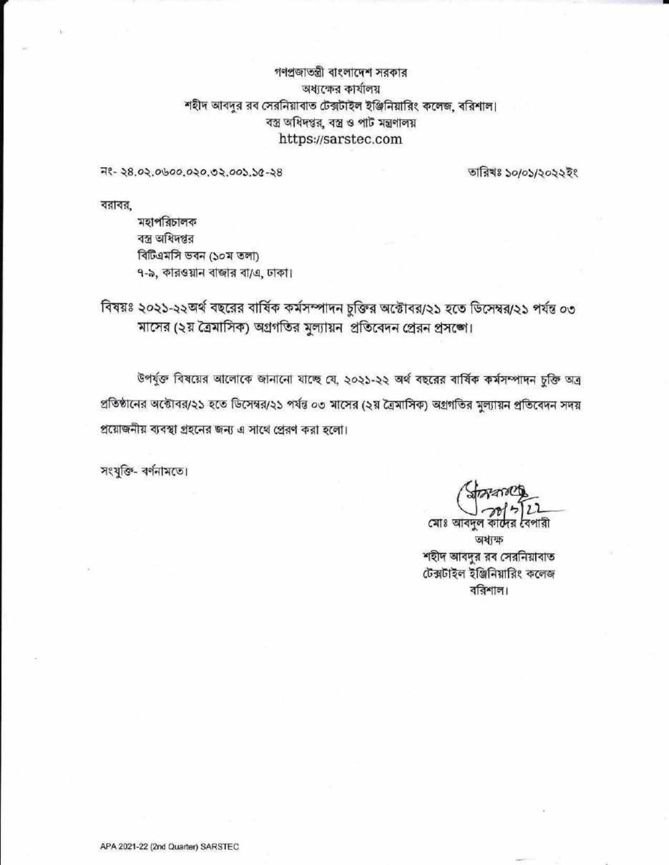গণপ্রজাতন্ত্রী বাংলাদেশ সরকার অধ্যক্ষের কার্যালয় শহীদ আবদুর রব সেরনিয়াবাত টেক্সটাইল ইঞ্জিনিয়ারিং কলেজ, বরিশাল। বস্ত্র অধিদপ্তর, বস্ত্র ও পাট মন্ত্রণালয় https://sarstec.com

म१- २८.०२.०७००.०२०.७२.००১.১৫-२८

তারিখঃ ১০/০১/২০২২ইং

বরাবর,

মহাপরিচালক বস্ত্র অধিদপ্তর বিটিএমসি ভবন (১০ম তলা) ৭-৯, কারওয়ান বাজার বা/এ, ঢাকা।

বিষয়ঃ ২০২১-২২অর্থ বছরের বার্ষিক কর্মসম্পাদন চুক্তির অক্টোবর/২১ হতে ডিসেম্বর/২১ পর্যন্ত ০৩ মাসের (২য় ত্রৈমাসিক) অগ্রগতির মুল্যায়ন প্রতিবেদন প্রেরন প্রসঙ্গে।

উপর্যুক্ত বিষয়ের আলোকে জানানো যাচ্ছে যে, ২০২১-২২ অর্থ বছরের বার্ষিক কর্মসম্পাদন চুক্তি অত্র প্রতিষ্ঠানের অক্টোবর/২১ হতে ডিসেম্বর/২১ পর্যন্ত ০৩ মাসের (২য় ত্রৈমাসিক) অগ্রগতির মুল্যায়ন প্রতিবেদন সদয় প্রয়োজনীয় ব্যবস্থা গ্রহনের জন্য এ সাথে প্রেরণ করা হলো।

সংযুক্তি- বর্ণনামতে।

কাৰ্দের বৈপারী মোঃ আবদুল অধ্যক্ষ শহীদ আবদুর রব সেরনিয়াবাত টেক্সটাইল ইঞ্জিনিয়ারিং কলেজ বরিশাল।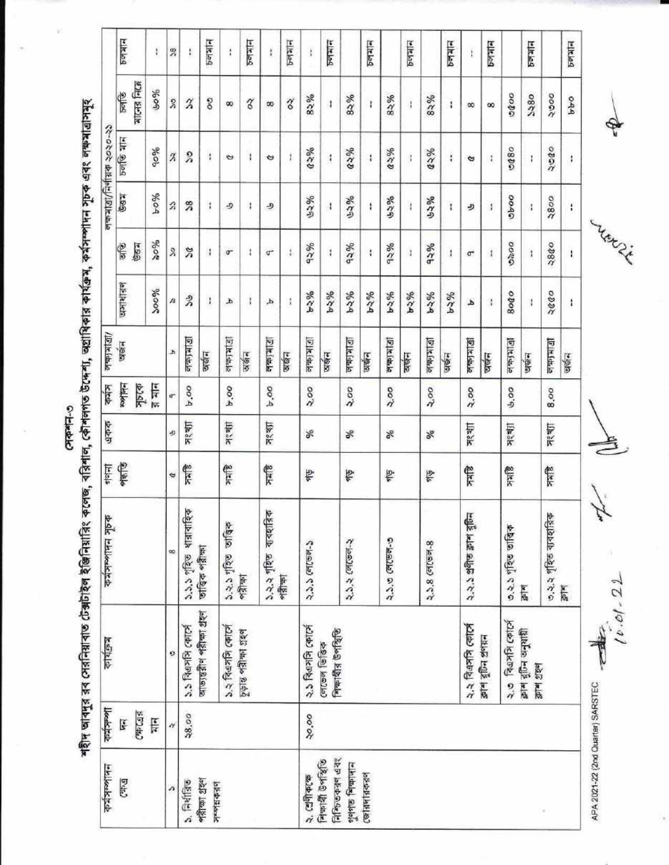$C - F = 0$ 

**Mitcles Miclay**  $P = 2$  $B<sub>0</sub>$  $B<sub>1</sub>$  $\approx$ চলমান  $B<sub>0</sub>$ **Pales**  $P = 9$  $PQ|H$  $P = 1$ R ł. Ŧ Ŷ. ŧ  $\ddagger$  $\mathfrak{t}$ **AIL-AS FALA** %o  $rac{6}{5}$ 0000 2380  $2000$ 82%  $82%$ 82%  $83%$ **PPO**  $\frac{2}{3}$  $\delta$ শহীদ আবদুর রব সেরনিয়াবাত টেক্সটাইল ইঞ্জিনিয়ারিং কলেজ, বরিশাল, কৌশলগত উদ্দেশ্য, অগ্রাধিকার কার্যক্রপাদন সূচক এবং লক্ষমাত্রাসমূহ  $\widetilde{\vphantom{a}}$ S,  $\widetilde{\mathcal{E}}$ œ œ  $\mathbf{I}$  $\mathbf{i}$  $\mathbf{I}$ 4  $\infty$  $\infty$ নক্ষমাত্ৰা/নিৰ্ণায়ক ২০২০-২১  $\frac{1}{2}$  $300<sub>5</sub>$ 90%  $0.5200$  $63%$  $a \ge 96$  $62%$ 0890  $\chi$  $\frac{5}{2}$  $\pmb{\cdot}$  $\mathbf{i}$  $\,$   $\,$  $\mathfrak i$  $\ddot{\ddot{\ }}$  $\sigma$  $\ddot{\phantom{a}}$  $\sigma$  $\frac{1}{2}$  $\ddot{\phantom{a}}$ ÷  $\bullet$ J. **Gell** 9604 opeo 52% ७२%  $3800$ いころ しょう  $\boldsymbol{\hat{z}}$  $38$  $\,$  ; D J. ري  $\boldsymbol{A}$  $\mathbf{I}$  $\mathbf{i}$ J.  $\frac{1}{2}$  $\frac{1}{2}$  $\ddot{\phantom{a}}$ رو **Lynn Level**  $%$ 0000 2840  $\frac{1}{3}$ **Georg** 92% 92% 92% 92%  $\mathcal{S}$  $\frac{3}{6}$  $\mathbf{i}$  $\sigma$  $\mathfrak{t}$  $\ddot{\phantom{a}}$  $\mathbf{1}$  $\mathfrak t$ ï  $\sigma$  $\frac{1}{4}$  $\pmb{\cdot}$  $\mathbf{I}$  $\mathbf{I}$  $\sigma$ অসাধারণ  $200%$ 9654 9624  $b - 2%$ **PSS4** 0002 **PS2%** 9624 9654 9654 8000  $\stackrel{9}{\scriptstyle\sim}$ A  $\mathbf{1}$  $\mathfrak{t}$ Ł  $\mathbf i$ Ą  $\mathbf{I}$ ł  $\blacktriangle$ Ŧ জন্মগ্ৰাত্তা 12 | 2 | 4 | 5 ermand 四度年 **Diricts** विकासीयी 四年一 **DIKIdal** लेकाशवी Leithel **Ulkfdalo DIGEN** b অর্জন अर्थन अर्छन অর্থন অর্জন वर्षन अर्थन पार्कन অর্জন অর্জন **Hulles** সূচকে  $\frac{1}{2}$  and कांत्र **P.00** 9.00  $b.00$  $\frac{5}{2}$ 2.00 2.00  $2,00$ २.०० 8,00 ತಿ.೦೦ ď একক সংখ্যা ग्रह क्या সংখ্যা সংখ্যা ञ्श्≇श त्रश्चा s % Se % × 龍島 信天 श्रीहर **Blitk Shek alkk** Slick 督 昏 ∲. 剑 ¢ | ১.২.২ গৃহিত ব্যবহারিক<br>পরীক্ষা ৩.২.২ গৃহিত ব্যবহারিক<br>ক্লাশ ১.১.১ পৃহিত ধারাবাহিক ২.২.১ প্রণীত ক্লাশ বুচিন কৰ্মসম্পাদন সূচক ১.২.১ গৃহিত তাত্ত্বিক ৩.২.১ গৃহিত তাত্তিক २.১.৩ লেভেল-৩ २.३.२ (लाकन-२  $2.3.5$  (el(sel-2) २.১.৪ লেভেল-৪ তাত্ত্বিক পরীক্ষা œ  $\frac{1}{|t|}$ 响射 计传 আভ্যন্তরীণ পরীক্ষা গ্রহণ ২.৩ বিত্রসসি কোর্সে ১.১ বিএসসি কোর্সে ১.২ विश्वमनि क्यार्ज ২.২ বিএসসি কোর্সে २.३ विक्रानि क्यान চূড়ান্ত পরীক্ষা গ্রহণ শিক্ষার্থীর উপস্থিতি ট্ৰাম বুটিন অনুযায়ী তাশ বুটিন প্ৰণয়ন কাৰ্যক্ৰম লেভেল ভিত্তিক 0 ক্লাশ গ্ৰহণ APA 2021-22 (2nd Quarter) SARSTEC lleakhth  $C40 - C45$ 38,00 20,00  $\frac{1}{\sqrt{2}}$  $\mathbf{F}$ H ২. শ্ৰেণীকক্ষে<br>নিক্ষাৰী উপস্থিতি নিশ্চিতকরণ এবং পুণগত শিক্ষাদান<br>জোৱদাৱকরণ **Anticokty**  $C47.9$  $5.$  निर्शाविङ পরীক্ষা গ্রহণ **Liberaldork** n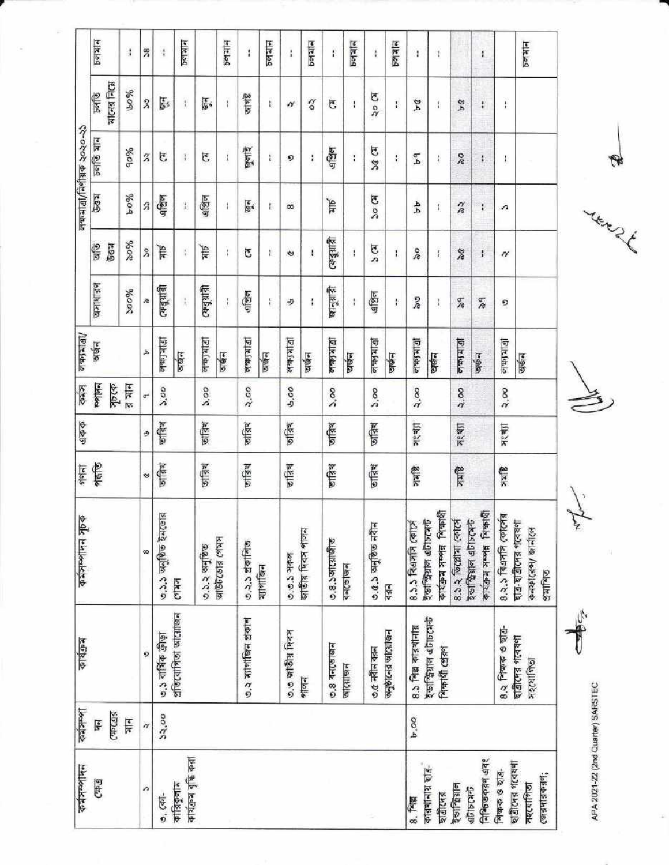|                                                                                       |                  | $5$ elskel<br>allors Fical<br>$\frac{1}{2}$ | J<br>90%      | z                                | $\ddot{i}$                  | <b>Pelaied</b>                    |               | $P =  A $ |                      | ï<br><b>SLAIR</b> | $PQ =$    | ì                | Peletep          | î                | $567$ allel      | ł<br>k) ok          | $P =  A $             | ł                        | $\Lambda$                                             |                         | ŧ                                                  |                                                |
|---------------------------------------------------------------------------------------|------------------|---------------------------------------------|---------------|----------------------------------|-----------------------------|-----------------------------------|---------------|-----------|----------------------|-------------------|-----------|------------------|------------------|------------------|------------------|---------------------|-----------------------|--------------------------|-------------------------------------------------------|-------------------------|----------------------------------------------------|------------------------------------------------|
|                                                                                       |                  | চলতি যান                                    | 90%           | $\rm{z}$                         | Ğ,                          | Ŧ                                 | G             | Ï         |                      | षुलांदे           | ŧ         | ø                | $\frac{1}{8}$    | এপ্রিল           | ì                | <b>EJ DC</b>        | ţ.                    | P <sub>d</sub>           | Å                                                     | $\frac{8}{2}$           | $\ddot{\ast}$                                      | I,                                             |
|                                                                                       |                  | 567                                         | 6004          | Ż                                | 4127                        | Ţ.                                | এপ্রিল        | ţ         |                      | $\mathbf{F}$      | I.        | œ                |                  | <b>Alt</b>       |                  | <b>K) oc</b>        |                       | न्म                      | 1                                                     | $\frac{\eta}{R}$        | $\ddot{i}$                                         | л                                              |
|                                                                                       |                  | Ç<br><b>Bay</b>                             | 4008          |                                  | Ψķ                          | ŧ,                                | Allk          | ţ         | J                    |                   | ŧ         | ¢                | $\mathbf{I}$     |                  | ফেব্রুয়ারী<br>ł | ত ব                 | ï                     | š                        | $\mathfrak l$                                         | $\frac{2}{3}$           | $\ddot{\phantom{a}}$                               | N                                              |
| $\mathcal{S}^{\mathsf{c}}$                                                            |                  | वनाधान्न                                    | 200%          | Æ                                | ফেবুয়ারী                   | I.                                | (विधिक)       | ţ         | এপ্রিল               |                   | ŧ         | 步                | t                |                  | खानुशाही<br>ţ    | এপ্রিল              | ŧ                     | es<br>S                  | $\downarrow$                                          | $\frac{\sigma}{\ell^2}$ | $\frac{\sigma}{\Lambda}$                           | D                                              |
|                                                                                       |                  |                                             |               | ĴЬ.                              | <b>Diritale</b>             | ञर्खन                             | $D[k]$ du let | जर्षन     | 四次海河                 |                   | ज्ञान     | <b>DIKI dale</b> | अर्थन            | <b>Girida</b>    | प्रार्थन         | 1918640             | অর্জন                 | 145040                   | <b>Calered</b>                                        | 12 法位                   | णकन                                                | <b>District</b>                                |
| লক্ষমাত্ৰা/নিৰ্ণায়ক ২০২০-২১<br>(5 A B)<br>अर्थन                                      | কৰস              | politic                                     | র মান         | $\sigma^{\scriptscriptstyle\pm}$ | 2,00                        |                                   | 200           |           | 2.00                 |                   |           | 9,00             |                  | 5.00             |                  | 2,00                |                       | 2.00                     |                                                       | 2.00                    |                                                    | 2.00                                           |
| ক্ষকে                                                                                 |                  |                                             |               | رد                               | जस्रि                       |                                   | जंडिय         |           | जस्मि                |                   |           | जंब्रिश          |                  | जस्थि            |                  | जस्रि               |                       | न्थ्या                   |                                                       | <b>সংখ্যা</b>           |                                                    | সংখ্যা                                         |
|                                                                                       |                  |                                             |               | $\ddot{\phantom{0}}$             | जन्नि                       |                                   | छान्निथ       |           | जाबिश                |                   |           | जस्रि            |                  | जाविश्व          |                  | जस्थि               |                       | <b>alkk</b>              |                                                       | <b>altk</b>             |                                                    | <b>Slitk</b>                                   |
| 일화                                                                                    |                  |                                             |               | œ                                | ৩.১.১ অনুষ্ঠিত ইনডোর        |                                   | ७.३.२ अनुष्ठि |           | ৩.২.১ প্রকাশিত       |                   | ম্যাগাজিন | $0.0.3$ সকল      | জাতীয় দিবস পালন | 0.8.5आ(साकी      | <b>delaheb</b>   | ৩.৫.১ অনুষ্ঠিত নবীন | $43 -$                | 8.3.3 विक्षानि क्यार्ट्स | <b>CIVER SHOWER LESSER</b><br>ইভাস্ট্রিয়াল এটাচমেন্ট | 8.3.२ जिल्लामा त्काल    | <b>Plated Hook Kepple</b><br>ইভাস্টিয়াল এটাচমেন্ট | ৪.২.১ বিএসসি কোর্সের<br>ছাত্ৰ-ছাত্ৰীদেৱ গবেষণা |
| আউটডোর গেমস<br>$C = 157$                                                              |                  |                                             |               | 0                                | ७.३ वार्षिक क्रीड़ा         |                                   |               |           | ৩.২ ম্যাগাজিন প্ৰকাশ |                   |           | ৩.৩ জাতীয় দিবস  | পালন             | $-59$ 3 4-10-191 | जात्याजन         | $0.0$ alla dan      | जनुष्ठीत्नि जात्याकिन | 8.5 शिक्ष काउशानाग्न     | ইভাস্ট্রিয়াল এটাচমেন্ট                               | শিক্ষার্থী প্রেরণ       |                                                    | 8.२ निकक ७ छात्र-<br>ছাত্ৰীদের গবেষণা          |
| প্ৰতিযোগিতা আয়োজন                                                                    |                  | (4762, 647)<br>Ţ                            | $\frac{1}{3}$ | $\gamma$                         | 32,00                       |                                   |               |           |                      |                   |           |                  |                  |                  |                  |                     |                       | b.00                     |                                                       |                         |                                                    |                                                |
| $rac{1}{2}$<br>$\frac{1}{2}$<br>কৰ্মসম্পাদন সূচক<br>कार्यक्रम<br><b>Libraliz Mich</b> | <b>ANIANSITY</b> | E                                           |               | À                                | $\overline{\mathfrak{G}}$ . | কাৰ্যক্ৰম বৃদ্ধি করা<br>কারিকুলাম |               |           |                      |                   |           |                  |                  |                  |                  |                     |                       | 8.74                     | कांसचानाश्र श्रुत-<br>ছাত্ৰীদের                       | ইভাস্মিল                | নিশ্চিতকরণ এবং<br>абъсать                          | ছাত্ৰীদের গবেষণা<br>শিক্ষক ও ছাত্র-            |

Ar.

APA 2021-22 (2nd Quarter) SARSTEC

There is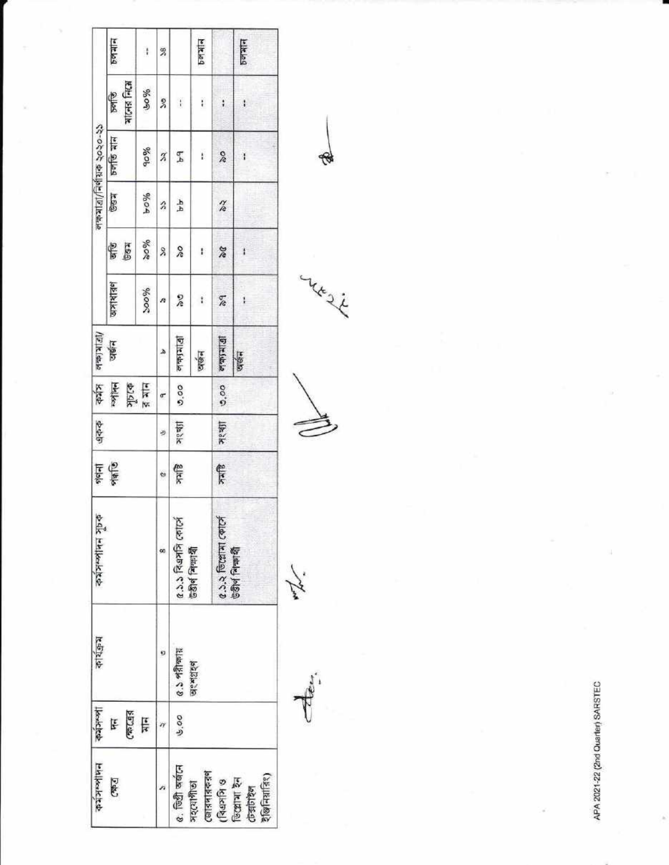|                              | PQQ                       | $\ddagger$           | 38             |                                                 | P(x z)                |                       | PQ                                      |
|------------------------------|---------------------------|----------------------|----------------|-------------------------------------------------|-----------------------|-----------------------|-----------------------------------------|
|                              | <b>MIGHS FACH</b><br>চলভি | 90%                  | 2              | $\frac{1}{2}$                                   | ì.                    | ŧ                     | ł                                       |
| লক্ষমাত্রা/নির্ণায়ক ২০২০-২১ | চলতি মান                  | 90%                  | $\mathfrak{I}$ | F <sub>4</sub>                                  | ł.                    | X                     | Ĭ                                       |
|                              | <b>Bay</b>                | 9604                 | â              | 4A                                              |                       | $\frac{2}{6}$         |                                         |
|                              | 胃菌                        | $\%$ ok              | X              | $\delta$                                        | ŧ                     | se                    | ł                                       |
|                              | प्रामशिन                  | 90006                | A              | $\frac{2}{3}$                                   | î.                    | $\frac{9}{6}$         | ı                                       |
| $\sqrt{ U }$ k $ \psi $      | ञर्खन                     |                      | ۵              | $\frac{1}{2}$                                   | অর্জন                 | القائطة العالقا       | orgin                                   |
| 医性                           | <b>Hollon</b>             | भारक<br>बाज          | œ              | 0.00                                            |                       | 0.00                  |                                         |
| একক                          |                           |                      | Ŋ              | अश्या                                           |                       | न्थ्या                |                                         |
|                              | 皇帝                        |                      | ¢              | बीमार                                           |                       | 曾々                    |                                         |
| <b>Delk Hullenkre</b>        |                           |                      | 90             | 2.3.3 विश्वभनि कार्टन                           | 530 मिलायी            | 0.3.2 जिल्लामा कार्टन | <b>Bay</b> Print                        |
| কার্যক্রম                    |                           |                      | Đ              | $\frac{1}{2}$ of $\frac{1}{2}$ or $\frac{1}{2}$ | ols was               |                       |                                         |
| Ikolete                      | (39.67)<br>Ę              | $\frac{1}{\sqrt{2}}$ | n              | ७००                                             |                       |                       |                                         |
| <b>Willowship</b>            | <b>Dete)</b>              |                      |                | c. feet work                                    | জোরদারকরণ<br>সহযোগীতা | $($ বিএসসি ও          | रेखिनिय़ांति१)<br>िल्लामा १न<br>Costore |

Aen.

yesi

₩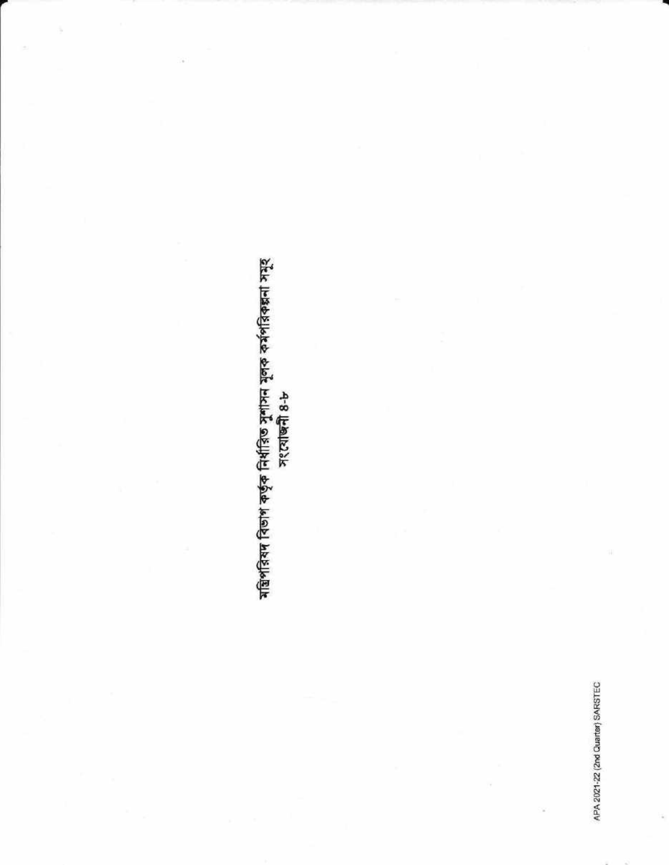## মন্ত্রিপরিষদ বিভাগ কর্তৃক নির্ধারিত সুশাসন মূলক কর্মপরিকল্পনা সমূহ<br>সংযোজনী ৪-৮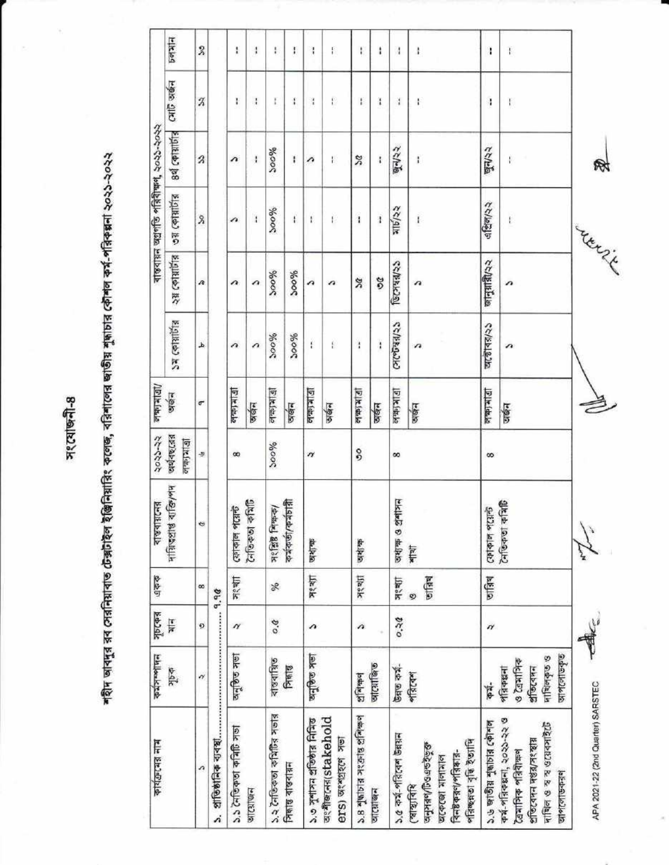अश्याष्ट्री-8

ŧ

শহীদ আবদুর রব সেরনিয়াবাত টেক্সটাইল ইঞ্জিনিয়ারিং কলেজ, বরিশালের জাতীয় শুদ্ধাচার কৌশল কর্ম-পরিকল্পনা ২০২১-২০২২

| कार्यक्षप्रश्न नाम                                                                                                  | कर्मनगरीमन                                                    | पुष्टकन्न     | 空中心             |                                            | २०२२-२२                                           | लकामाबा/         |                |                   | ৰান্তবায়ন অগ্ৰগতি পরিবীক্ষণ, ২০২১-২০২২ |                               |               |                  |
|---------------------------------------------------------------------------------------------------------------------|---------------------------------------------------------------|---------------|-----------------|--------------------------------------------|---------------------------------------------------|------------------|----------------|-------------------|-----------------------------------------|-------------------------------|---------------|------------------|
|                                                                                                                     | s dk                                                          | $\frac{1}{3}$ |                 | ৰাস্বৰায়নের<br>দায়িত্বপ্রাপ্ত ব্যক্তি/পদ | অর্থবছরের<br>$15$   $\frac{1}{2}$   $\frac{1}{2}$ | अर्थन            | $54$ colaible  | <b>Sigikle 38</b> | 2191810 80                              | $899$ $C$ $Q$ $R$ $R$ $R$ $S$ | त्यांति अर्थन | 59777            |
| л                                                                                                                   | $\gamma$                                                      | ø             | œ               | ¢                                          | Ð                                                 | $\sigma$         | A              | n.                | $\boldsymbol{\mathsf{S}}$               | $\boldsymbol{\hat{z}}$        | $\rm{z}$      | $\boldsymbol{S}$ |
| প্ৰাতিষ্ঠানিক ব্যবস্থা<br>à                                                                                         |                                                               |               | 9,90            |                                            |                                                   |                  |                |                   |                                         |                               |               |                  |
| ১১ নৈতিকতা কমিটি সভা                                                                                                | <b>Iak agua</b>                                               | $\gamma$      | সংখ্যা          | ফোকাল পয়েন্ট                              | $^{\infty}$                                       | <u>eletri 19</u> | a              | n                 | n                                       | $\lambda$                     | ł             | ł                |
| आत्याखन                                                                                                             |                                                               |               |                 | নৈতিকতা কমিটি                              |                                                   | अर्थन            | a              | a                 | $\mathbf i$                             | Ï                             | ł             | ł                |
| ১২ নৈতিকতা কমিটির সভার                                                                                              | বাস্তবায়িত                                                   | 9.0           | X               | সংশ্লিষ্ট শিক্ষক/<br>কৰ্মকৰ্তা/কৰ্মচায়ী   | 200%                                              | 同时住宅             | 96005          | 3000%             | 200%                                    | <b>%oos</b>                   | I             | ŧ                |
| সিদ্ধান্ত বাস্তবায়ন                                                                                                | 同制度                                                           |               |                 |                                            |                                                   | <b>Digita</b>    | 300%           | 200%              | $\mathfrak{t}$                          | Ŧ                             | t             | ŧ                |
| ১.৩ সুশাসন প্রতিষ্ঠার নিমিত্ত                                                                                       | वन्द्रिक मला                                                  | n             | <b>Meak</b>     | 生长的                                        | $\boldsymbol{\eta}$                               | <b>Ditchella</b> | ŧ              | n                 | ŧ                                       | n                             | ţ             | ł                |
| অংশীজনের(stakehold<br>ers) or appropriate                                                                           |                                                               |               |                 |                                            |                                                   | अर्थन            | £              | n                 | E                                       | ŀ.                            | F             | F                |
| ১.৪ শুদ্ধাচার সংক্রান্ত প্রশিক্ষণ                                                                                   | efferged                                                      | ñ             | <b>Maak</b>     | जशाक                                       | °                                                 | 同时能知             | ł              | ×                 | $\ddot{\phantom{a}}$                    | $\boldsymbol{\mathcal{Z}}$    | ŧ             | ŀ                |
| वात्याखन                                                                                                            | অযোজিত                                                        |               |                 |                                            |                                                   | অর্জন            | ï              | 2G                | ł                                       | ł                             | ï             | ŧ                |
| ১.৫ কৰ্ম-পরিবেশ উন্নয়ন                                                                                             | উন্নত কৰ্ম-                                                   | 0.30          | जश्या           | অধ্যক্ষ ও প্ৰশাসন                          | 8                                                 | <b>DIRIGH</b>    | (अल्कान प्रदेश | CORPICO           | মার্চ/২২                                | जून/२२                        | ă.            | ł                |
| পরিছন্নতা বৃদ্ধি ইত্যাদি<br><b>Baabgulbarke</b><br>विनष्ठ कन्न (भानिकान-<br>अटकटखा भागाभाग<br>(शश्चार्यावरि         | शीरत्य                                                        |               | जांत्रिश्च<br>G | HELL                                       |                                                   | छाक्षेत्र        | n              | $\sqrt{2}$        | Ï.                                      | ţ.                            | ł             | ł.               |
| 3.99908999999999999                                                                                                 | F.                                                            | n             | जन्निय          | ফোকাল পয়েন্ট<br>নৈতিকতা কমিটি             | õ                                                 | लका माता         | অন্তোৰয়/২১    | জানুয়ারী/২২      | এপ্রিল/২২                               | जून/२२                        | ł             | ł                |
| কৰ্ম-পরিকল্পনা, ২০২১-২২ ও<br>দাখিল ও স্ব স্ব ওয়েবসাইটে<br>প্ৰতিবেদন দগুৱ/সংস্থায়<br>তৈমাসিক পরিবীক্ষণ<br>আপলোডকরণ | ञार्शालाउकु<br>দাখিলকৃত ও<br>821177<br>প্ৰতিবেদন<br>পরিকল্পনা |               |                 |                                            |                                                   | অৰ্জন            | n              | n                 | $\mathfrak{t}$                          | I)                            | F             | $\mathfrak{f}$   |
| APA 2021-22 (2nd Quarter) SARSTEC                                                                                   |                                                               | de            |                 | ⋩                                          |                                                   |                  |                |                   | <b>Trenzi</b>                           |                               |               |                  |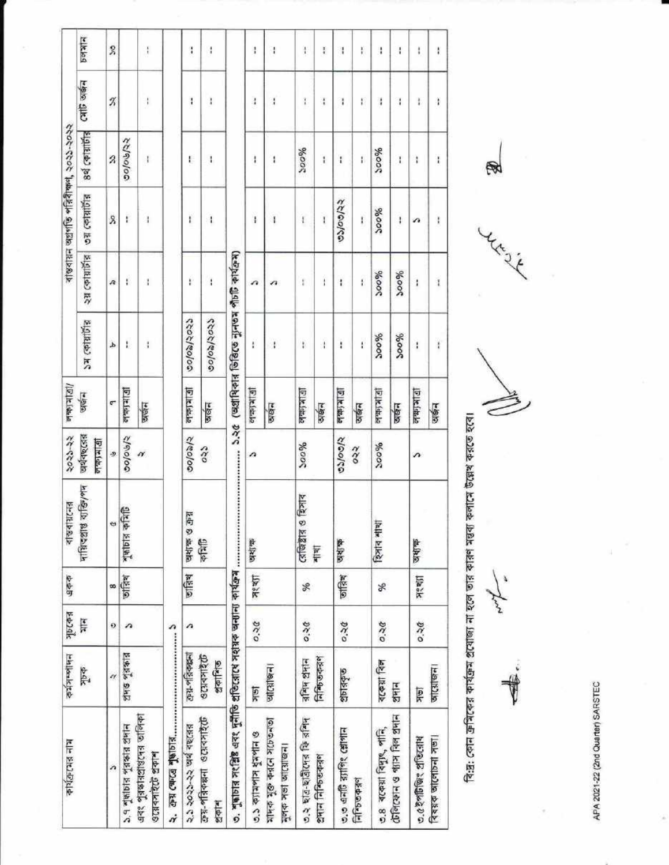| ø<br>ana<br>医外科<br>प्रश्था<br>जस्थि<br>छात्रिश<br>8<br>সূচকের<br>Ę<br>0.36<br>ø<br>A<br>A<br>প্ৰদত্ত পূরকার<br>क्य-शंद्रकल<br>97342120<br>প্ৰকাশিত<br>中心<br>N<br>$\frac{10}{2}$<br>এবং পুরস্কারপ্রান্তদের তালিকা<br>क्रिय-शासकक्षना ওয়েবসাইটে<br>২.১ ২০২১-২২ অর্থ বছরের<br>১.৭ শুদ্ধাচার পুরস্কার প্রদান<br>৩.১ ক্যামপাস ধুমপান ও<br>ওয়েবসাইটে প্ৰকাশ<br>n<br>医食品 | দায়িত্বপ্ৰাপ্ত ব্যক্তি/শদ<br><b>Asiels sigle</b><br>西町 の 降切り | অর্থবছরের<br>s/ologis<br><u>ol ab (di ol</u><br>s<br>N | $1 - 1 - 1$<br>ভাজন<br>¢ | $54$ celations                                 | श्यायार्णेन्न | ०३ (कांग्रांगेंड | 8वें द्वांश्वाणिड | Call sign     | <b>Mitched</b> |
|---------------------------------------------------------------------------------------------------------------------------------------------------------------------------------------------------------------------------------------------------------------------------------------------------------------------------------------------------------------------|---------------------------------------------------------------|--------------------------------------------------------|--------------------------|------------------------------------------------|---------------|------------------|-------------------|---------------|----------------|
|                                                                                                                                                                                                                                                                                                                                                                     |                                                               |                                                        |                          |                                                |               |                  |                   |               |                |
|                                                                                                                                                                                                                                                                                                                                                                     |                                                               |                                                        |                          | d                                              | Æ             | λ                | Z                 | z             | Z              |
|                                                                                                                                                                                                                                                                                                                                                                     |                                                               |                                                        |                          | I.                                             | ŧ             | ŧ                | 00/06/22          |               |                |
|                                                                                                                                                                                                                                                                                                                                                                     |                                                               |                                                        | অর্জন                    | ţ                                              | ł             | I                | ł                 | ţ             | Î              |
|                                                                                                                                                                                                                                                                                                                                                                     |                                                               |                                                        |                          |                                                |               |                  |                   |               |                |
|                                                                                                                                                                                                                                                                                                                                                                     |                                                               | 5/60/00                                                | লম্মাৰা                  | colosloss                                      | ŧ             | ŧ                | Ł                 | ł             | ì              |
|                                                                                                                                                                                                                                                                                                                                                                     |                                                               | $\frac{33}{2}$                                         | छाखन                     | ccc/co/co/o                                    | ł             | ł                | I                 | ï             | ĭ              |
|                                                                                                                                                                                                                                                                                                                                                                     |                                                               |                                                        |                          | (অগ্রাধিকার ভিত্তিতে ন্যুনতম পাঁচটি কার্যক্রম) |               |                  |                   |               |                |
|                                                                                                                                                                                                                                                                                                                                                                     |                                                               | n                                                      | <b>United</b>            | ł                                              | a             | ļ                | ł                 | $\frac{1}{4}$ | ţ              |
| णात्राश्चन<br>মাদক মুক্ত করনে সচেতনতা<br>মুলক সভা আয়োজন।                                                                                                                                                                                                                                                                                                           |                                                               |                                                        | छाखन                     | ŧ                                              | n             | $\ddagger$       | 1                 | ł             | ł              |
| Se<br>0.56<br>$\sqrt{2}$ $\sqrt{2}$<br>৩.২ ছাত্ৰ-ছাত্ৰীদের ফি রশিদ                                                                                                                                                                                                                                                                                                  | হিসাব<br>$C = \sqrt{\frac{1}{2}}$                             | 200%                                                   | Elkish                   | ï                                              | t             | ł                | 700%              | I             | $\mathfrak l$  |
| शास<br>নিষ্টিভকরণ<br>প্ৰদান নিশ্চিতকৰণ                                                                                                                                                                                                                                                                                                                              |                                                               |                                                        | अर्खन                    | $\mathbf{i}$                                   | Î             | I                | ï                 | ł             | ţ.             |
| 生存<br>जन्निथ<br>0.30<br>গ্ৰচাৰকৃত<br>७.७ এনটি র্যাগিং শ্লোগান                                                                                                                                                                                                                                                                                                       |                                                               | cyools                                                 | 三年(特)                    | ł                                              | ł             | choolso          | t                 | ł             | $\mathbf{I}$   |
| निम्छिकद्ग                                                                                                                                                                                                                                                                                                                                                          |                                                               | ०२२                                                    | अर्कन                    | į                                              | í             | ï                | Ï                 | ŧ             | ţ              |
| হিসাৰ শাখা<br>S.<br>23.50<br>বকেয়া বিল<br>७.8 वटकश विमुष्, नानि,                                                                                                                                                                                                                                                                                                   |                                                               | 200%                                                   | 回反体应                     | 96005                                          | 300%          | 900%             | 9600              | 1             | ł              |
| 21414<br>টেলিফোন ও প্যাস বিল প্ৰদান                                                                                                                                                                                                                                                                                                                                 |                                                               |                                                        | ञछन                      | %oog                                           | 300%          | ł                | ı                 | ł             | ł              |
| অধ্যক্ষ<br>Meald<br>0.56<br><b>S</b> K<br>৩.৫ইপটিজিং প্রতিরোধ                                                                                                                                                                                                                                                                                                       |                                                               | л                                                      | লক্ষ্যৰাত্ৰা             | ł                                              | ì             | n                | ì                 | ţ             | ŧ              |
| जात्याजन<br>বিষয়ক আলোচনা সভা।                                                                                                                                                                                                                                                                                                                                      |                                                               |                                                        | अर्थन                    | ł                                              | ī             | ţ                | l                 | ì             | ŧ              |

বি:দ্ৰ: কোন ক্ৰমিকের কাৰ্যক্ৰম প্ৰযোজ্য না হলে তার কারণ মন্তব্য কলামে উল্লেখ করতে হবে।

Maria V

i

**Length** 

 $\mathbb{R}$ 

APA 2021-22 (2nd Quarter) SARSTEC

ä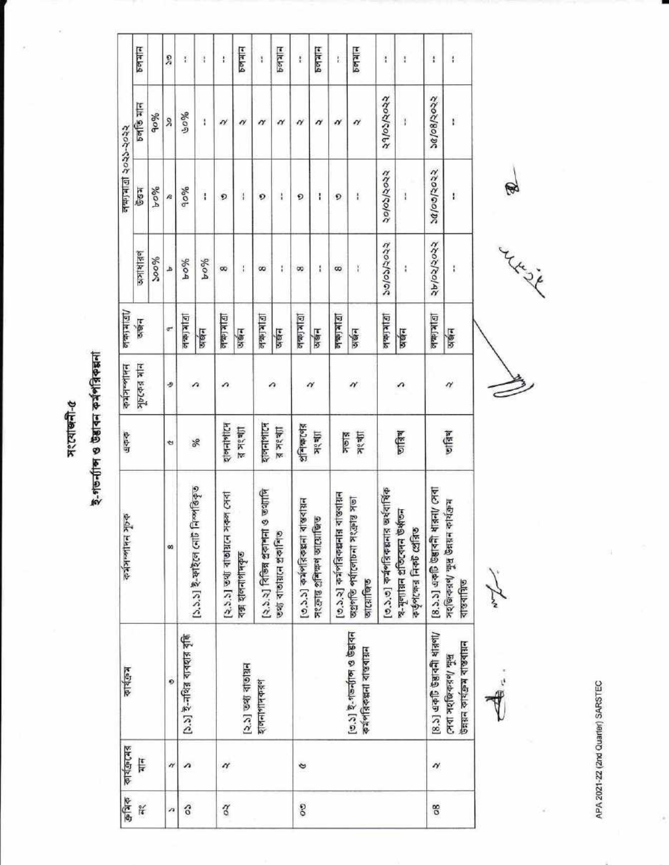সংযোজনী- $a$ 

ই-গড়ৰ্ন্যান্স ও উদ্ভাবন কৰ্মপত্ৰিকল্পনা

| [১.১.১] ই-ফাইলে নোট নিস্পত্তিকৃত<br>[২.১.২] বিভিন্ন প্ৰকাশনা ও তথ্যাদি<br>[২.১.১] তথ্য বাতায়নে সকল সেবা<br>[৩.১.১] কৰ্মপত্তিকপ্পনা বাস্তবায়ন<br>কৰ্মসম্পাদন সূচক<br>সংক্ৰান্ত প্ৰশিক্ষণ আয়োজিত<br>তথ্য বাতায়নে প্ৰকাশিত<br>œ<br>বক্স হালনাগাদকৃত<br>১.১] ই-নথির ব্যবহার বৃদ্ধি<br>শিল্প প্রাঞ্চায়ন<br>কার্যক্রম<br>ø<br>शमनागामकर् |                             | শাং ১৯১৭ | अर्थन           | अभाषाहर    |               |            |                 |
|-----------------------------------------------------------------------------------------------------------------------------------------------------------------------------------------------------------------------------------------------------------------------------------------------------------------------------------------|-----------------------------|----------|-----------------|------------|---------------|------------|-----------------|
|                                                                                                                                                                                                                                                                                                                                         |                             |          |                 |            | 百日            | চলতি মান   | $F = 2$         |
|                                                                                                                                                                                                                                                                                                                                         |                             |          |                 | 200%       | 9604          | 90%        |                 |
|                                                                                                                                                                                                                                                                                                                                         | А                           | ۰        | ¢               | d          | æ             | R          | š               |
|                                                                                                                                                                                                                                                                                                                                         |                             |          | 1511440         | 9604       | 9009          | 90%        | ł               |
|                                                                                                                                                                                                                                                                                                                                         | %                           | л        | अक्षन           | $y_0$ oA   | ł             | ŧ          | ł               |
|                                                                                                                                                                                                                                                                                                                                         | शलनाशास                     | ↷        | <b>Dikidu</b>   | œ          | O             | N          | ŧ               |
|                                                                                                                                                                                                                                                                                                                                         | न्न अध्या                   |          | अर्थन           | ł          | $\frac{1}{2}$ | n          | $P = 4$         |
|                                                                                                                                                                                                                                                                                                                                         | शलनाशास्त्र                 |          | 四次四             | S          | O             | N          | ï               |
|                                                                                                                                                                                                                                                                                                                                         | $\frac{1}{2}$ $\frac{1}{2}$ | Λ        | जखन             | ŧ          | ł             | N          | Mx44            |
|                                                                                                                                                                                                                                                                                                                                         | श्री शिक्षा (१)             |          | <b>Dirtate</b>  | œ          | O             | N          | į               |
|                                                                                                                                                                                                                                                                                                                                         | अश्चा                       | N        | अखन             | i          | ı             | N          | 14129           |
| [৩.১.২] কর্মগরিকল্পনার বাস্তবায়ন                                                                                                                                                                                                                                                                                                       | সভার                        |          | 12  A2          | 8          | O             | N          | Ė               |
| Į<br>অগ্ৰগতি পৰ্যালোচনা সংক্ৰান্ত<br>আয়োজিত<br>[৩.১] ই-গভর্ন্যাঙ্গ ও উদ্ভাবন<br>कर्मशिकक्षना राष्ट्रवाग्नन                                                                                                                                                                                                                             | अ१ श्री                     | N        | जर्खन           | ä          | ł             | $\gamma$   | M <sub>24</sub> |
| [৩.১.৩] কর্মপরিকল্পনার অর্থবার্ষিক                                                                                                                                                                                                                                                                                                      |                             |          | <b>Dikitale</b> | ccoc/coloc | २०/०३/२०२२    | २१/०३/२०२२ | ì               |
| স-মূল্যায়ন প্ৰতিবেদন উৰ্ধাতন<br>কৰ্তৃপক্ষেৱ নিকট প্ৰেৱিত                                                                                                                                                                                                                                                                               | णवित्र                      | ↷        | अर्थन           | ł          | ł             | ł          | Ï               |
| [8.3.3] একটি উদ্ভাবনী ধারনা/ সেবা<br>$[8.5]$ একটি উদ্ভাবনী ধারণা/                                                                                                                                                                                                                                                                       |                             |          | <b>Elkiale</b>  | २४/०२/२०२२ | 202/2022      | 26/08/2022 | $\ddot{i}$      |
| সহজিকরণ/ ক্ষুদ্র উন্নয়ন কার্যক্রম<br>বাস্তবায়িত<br>টলয়ন কাৰ্যক্ৰম বাস্তবায়ন<br>সেবা সহজিকরণ/ সুখ                                                                                                                                                                                                                                    | जन्निय                      | $\gamma$ | জর              | ŧ          | ŧ             | ŧ          | ï               |
| N Tri                                                                                                                                                                                                                                                                                                                                   |                             |          |                 |            | $\Theta$      |            |                 |
|                                                                                                                                                                                                                                                                                                                                         |                             |          |                 | Maria      |               |            |                 |

APA 2021-22 (2nd Quarter) SARSTEC

ä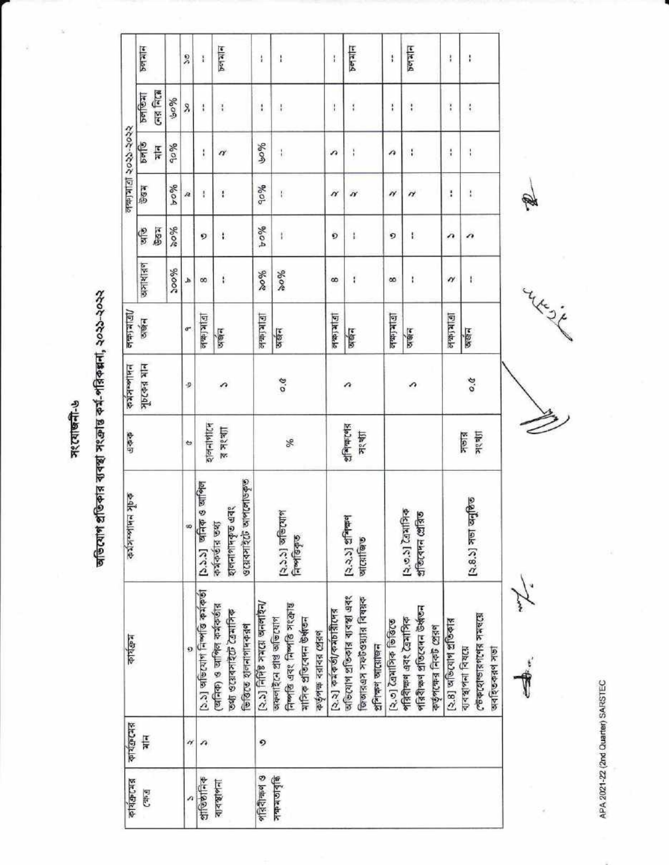मःत्याखनी-७

অভিযোগ প্ৰতিকার ব্যবস্থা সংক্ৰান্ত কর্ম-পরিকল্পনা, ২০২১-২০২২

| कार्यक्रमद्ग     | कार्यक्रम्ब   | 山东                                                                                                             | ogk Mikokte                                        | 4777                  | 1414222          | <b>Gleiber</b> |          |                          |            | $\frac{2}{3}$                  |                            |                  |
|------------------|---------------|----------------------------------------------------------------------------------------------------------------|----------------------------------------------------|-----------------------|------------------|----------------|----------|--------------------------|------------|--------------------------------|----------------------------|------------------|
| <b>S45)</b>      | $\frac{1}{4}$ |                                                                                                                |                                                    |                       | শাধ চক্যবান      | अक्षन          | অসাধারণ  | is de<br>Ç               | <b>B84</b> | $\frac{1}{2}$<br>$\frac{1}{4}$ | <b>CAR FICH</b><br>$B = 5$ | 50746            |
|                  |               |                                                                                                                |                                                    |                       |                  |                | 200%     | 9608                     | 960A       | 90%                            | 90%                        |                  |
|                  | $\gamma$      | ø                                                                                                              | 90                                                 | ٠                     | Ð                | ¢              | b        |                          | æ          |                                | X                          | X                |
| $\frac{1}{2}$    | n             | ১১] অভিযোগ নিৰ্মাত্ত কৰ্মকৰ্তা                                                                                 | ३ जानिल<br>[১.১.১] অনিক ও                          | शलनाशी                |                  | वाका भावा      | $\infty$ | D                        | Ï          | ļ                              | $\mathbf{I}$               | $\frac{1}{4}$    |
| 지수경하지            |               | (অনিক) ও আপিল কৰ্মকৰ্তার<br>তথ্য ওয়েবসাইটে ত্রৈমাসিক<br>ভিত্তিতে হালনাগাদকরণ                                  | ওয়েবসাইটে আপলোডকৃত<br>হালনাগাদকৃত এবং<br>中国中心区 白色 | ऱ् त्रश्शा            | ↷                | जबन            | ١        | ۰                        | ŧ          | $\alpha$                       | ł                          | <b>Prefailed</b> |
| গরিবীক্ষণ ও      | 9             | (२.४) निर्मिष्ठ ममारा अननारेन/                                                                                 |                                                    |                       |                  | 同时的地           | %        | 9604                     | 90%        | 90%                            | $\mathfrak{t}$             | $\frac{1}{4}$    |
| <b>Biolettek</b> |               | নিৰ্মাতি এবং নিৰ্মাত সংক্ৰান্ত<br>অফলাইনে প্ৰাপ্ত আভিযোগ<br>মাসিক প্ৰতিবেদন উৰ্ধ্বতন<br>কর্তৃপক্ষ বরাবর প্রেরণ | [২.১.১] অভিযোগ<br>নিৰ্পত্তিকৃত                     | %                     | $\overline{0}$ . | अर्थन          | %        | Ý.                       | ł.         | $\ddot{\phantom{a}}$           | ł                          | ł                |
|                  |               | [২.২] কৰ্মকৰ্তা/কৰ্মচায়ীদের                                                                                   |                                                    |                       |                  | 四次位位           | 8        | Ö                        | N          | n                              | $\mathfrak{f}$             | $\mathbf{I}$     |
|                  |               | অভিযোগ প্ৰতিকাৰ ব্যবস্থা এবং<br>জিআরএস সফটওয়্যার বিষয়ক<br>প্ৰশিক্ষণ আয়োজন                                   | (२.२.১) धनिकन<br>আয়োজত                            | शिक्षकारवाड़<br>जश्या | n                | अर्कन          | ŧ        | ĵ                        | N          | ì                              | ţ                          | Petated          |
|                  |               | (২.৩) বৈমাসিক ভিত্তিতে                                                                                         |                                                    |                       |                  | 1712/4/2       | $\infty$ | O                        | N          | n                              | ŧ                          | $\mathbf{i}$     |
|                  |               | পরিবীক্ষণ প্রতিবেদন উর্ধ্বতন<br>পরিবীক্ষণ এবং ত্রৈমাসিক<br>কৰ্তৃপক্ষের নিকট প্রেরণ                             | २७.४ टियानिक<br>প্ৰতিবেদন প্ৰেৰিত                  |                       | ↷                | अर्थन          | ţ.       | ŧ                        | H          | î                              | ŧ                          | Pelatin          |
|                  |               | (২.৪) অভিযোগ প্ৰতিকার                                                                                          |                                                    |                       |                  | 同时安局           | $\gamma$ | $\overline{\phantom{a}}$ | ł          | ŧ                              | î                          | ţ                |
|                  |               | তেওকহোভারণণের সমন্ত্রে<br>ব্যবস্থাপনা বিষয়ে<br>অবহিতকরণ সভা                                                   | (২.৪.১) সভা অনুষ্ঠিত                               | <b>Jikabk</b><br>klak | 9.0              | अर्जन          | I.       | $\boldsymbol{\theta}$    | ŧ          | $\mathord{\uparrow}$           | ŧ                          | ł                |
|                  |               | -3.                                                                                                            |                                                    | ζ                     |                  |                | Ł        |                          |            |                                |                            |                  |

APA 2021-22 (2nd Quarter) SARSTEC

Maria in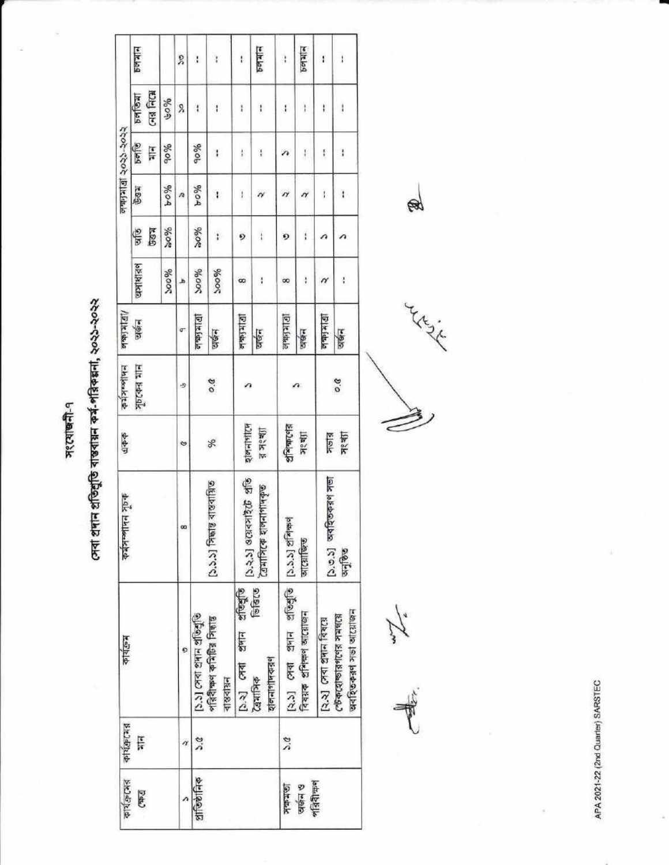प्रश्यालनी-१

F

সেবা প্ৰদান প্ৰতিশ্ৰুতি ৰাস্তৰায়ন কৰ্ম-পৱিকল্পনা, ২০২১-২০২২

| 하지만대회 | कार्यक्षम                                          | कर्वतन्त्रान्ति मृष्टक         | 444                                       | Hilasktt          | $1 D$   $x$   sks ks |           |             |                                | लक्काबा २०२२-२०२२    |                                      |                |
|-------|----------------------------------------------------|--------------------------------|-------------------------------------------|-------------------|----------------------|-----------|-------------|--------------------------------|----------------------|--------------------------------------|----------------|
|       |                                                    |                                |                                           | সূচকের মান        | অর্জন                | प्रशासाहर | <b>GES</b>  | <b>Reg</b>                     | palia<br>Į           | <b>CAR FICH</b><br>$P = \frac{1}{2}$ | $P = 2$        |
|       |                                                    |                                |                                           |                   |                      | 300%      | 96089       | %04                            | 90%                  | 9609                                 |                |
|       | O                                                  | œ                              | ∾                                         | D                 | ď                    | ه         |             | n                              |                      | Ş,                                   | L              |
|       | ১.১] সেবা প্রদান প্রতিশ্রুতি                       |                                |                                           |                   | الكالح لطدات         | %oog      | 96.00       | %04                            | 900%                 | ł                                    | ţ              |
|       | পরিবীক্ষণ কমিটির সিদ্ধান্ত<br>ৰাস্তবায়ন           | ১.১.১] সিদ্ধান্ত বাস্তবায়িত   | Sp                                        | $\overline{v}$ .o | धाक्षम               | 200%      | ŧ           | ł.                             | ţ                    | ł                                    | ł              |
|       | sfeege<br>21414<br>$[3.3]$ $C14$                   | $[0.3,5]$ <b>SCRATIZE</b> $20$ | शुलनागरिम                                 |                   | <b>Dirical</b>       | 8         | 9           | $\mathbf{I}$                   | ŧ                    | ł                                    | ł              |
|       | 6389<br>হালনাগাদকরণ<br>देवभागिक                    | ত্রিমাসিকে হালনাগাদকূত         | $\frac{1}{2}$ $\frac{1}{2}$ $\frac{1}{2}$ |                   | जर्छन                | ĭ         | $\mathbf i$ |                                | $\frac{1}{2}$        | ł                                    | PQ             |
|       | (২.১) সেবা প্রদান প্রতিবূতি [১.১.১] প্রশিক্ষণ      |                                | প্ৰশিক্ষণের                               |                   | 1915年4月              | œ         | Q           | n                              | л                    | ł                                    | ł              |
|       | বিষয়ক প্ৰশিক্ষণ আয়োজন                            | আয়োজিত                        | ग्रश्चा                                   | o                 | অর্জন                | ţ         | i           | N                              | $\mathbf{I}$         | ł                                    | $b$ ellelled   |
|       | [२.२] म्या शमान विश्वत्य                           | [১.৩.১] অবহিতকরণ সভা           |                                           |                   | <b>Diricts</b>       | n         | Ω           | $\begin{array}{c} \end{array}$ | ł                    | ł                                    | ï              |
|       | अवश्टिकव्रूण अर्जा आस्थिन<br>েটকহোভারগণের সমন্বয়ে | अनुशिष                         | সভার<br>সংখ্যা                            | 0.6               | अर्थन                | ţ         |             | ł                              | $\ddot{\phantom{a}}$ | I                                    | $\overline{1}$ |

In the

Literate

B